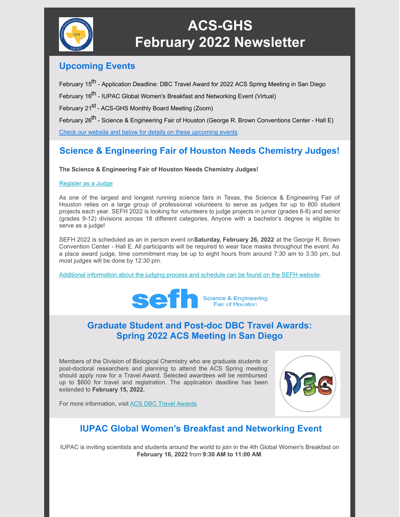

# **ACS-GHS February 2022 Newsletter**

#### **Upcoming Events**

February 15<sup>th</sup> - Application Deadline: DBC Travel Award for 2022 ACS Spring Meeting in San Diego

February 16<sup>th</sup> - IUPAC Global Women's Breakfast and Networking Event (Virtual)

February 21<sup>st</sup> - ACS-GHS Monthly Board Meeting (Zoom)

February 26<sup>th</sup> - Science & Engineering Fair of Houston (George R. Brown Conventions Center - Hall E)

Check our website and below for details on these [upcoming](https://acsghs.wildapricot.org/) events.

## **Science & Engineering Fair of Houston Needs Chemistry Judges!**

**The Science & Engineering Fair of Houston Needs Chemistry Judges!**

#### [Register](https://www.aitracq.com/placeawardsjudge.php) as a Judge

As one of the largest and longest running science fairs in Texas, the Science & Engineering Fair of Houston relies on a large group of professional volunteers to serve as judges for up to 800 student projects each year. SEFH 2022 is looking for volunteers to judge projects in junior (grades 6-8) and senior (grades 9-12) divisions across 18 different categories. Anyone with a bachelor's degree is eligible to serve as a judge!

SEFH 2022 is scheduled as an in person event on**Saturday, February 26, 2022** at the George R. Brown Convention Center - Hall E. All participants will be required to wear face masks throughout the event. As a place award judge, time commitment may be up to eight hours from around 7:30 am to 3:30 pm, but most judges will be done by 12:30 pm.

Additional [information](https://sefhouston.org/for-judges/#Start-Here) about the judging process and schedule can be found on the SEFH website.



#### **Graduate Student and Post-doc DBC Travel Awards: Spring 2022 ACS Meeting in San Diego**

Members of the Division of Biological Chemistry who are graduate students or post-doctoral researchers and planning to attend the ACS Spring meeting should apply now for a Travel Award. Selected awardees will be reimbursed up to \$600 for travel and registration. The application deadline has been extended to **February 15, 2022.**



For more information, visit ACS DBC Travel [Awards](http://www.divbiolchem.org/awards/travel-awards-to-attend-acs-national-meetings/).

## **IUPAC Global Women's Breakfast and Networking Event**

IUPAC is inviting scientists and students around the world to join in the 4th Global Women's Breakfast on **February 16, 2022** from **9:30 AM to 11:00 AM**.